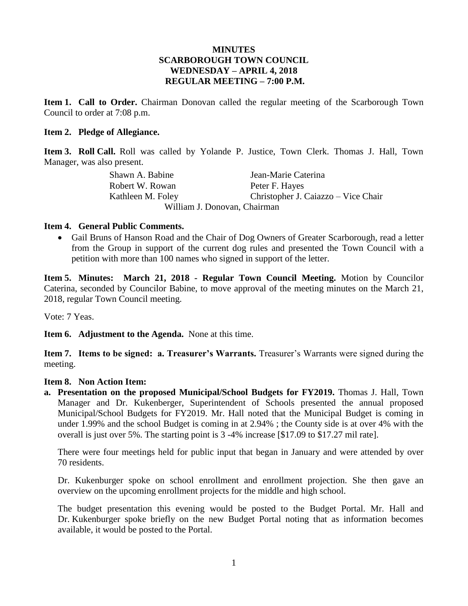#### **MINUTES SCARBOROUGH TOWN COUNCIL WEDNESDAY – APRIL 4, 2018 REGULAR MEETING – 7:00 P.M.**

**Item 1. Call to Order.** Chairman Donovan called the regular meeting of the Scarborough Town Council to order at 7:08 p.m.

#### **Item 2. Pledge of Allegiance.**

**Item 3. Roll Call.** Roll was called by Yolande P. Justice, Town Clerk. Thomas J. Hall, Town Manager, was also present.

> Shawn A. Babine Jean-Marie Caterina Robert W. Rowan Peter F. Hayes Kathleen M. Foley Christopher J. Caiazzo – Vice Chair William J. Donovan, Chairman

#### **Item 4. General Public Comments.**

 Gail Bruns of Hanson Road and the Chair of Dog Owners of Greater Scarborough, read a letter from the Group in support of the current dog rules and presented the Town Council with a petition with more than 100 names who signed in support of the letter.

**Item 5. Minutes: March 21, 2018 - Regular Town Council Meeting.** Motion by Councilor Caterina, seconded by Councilor Babine, to move approval of the meeting minutes on the March 21, 2018, regular Town Council meeting.

Vote: 7 Yeas.

**Item 6. Adjustment to the Agenda.** None at this time.

**Item 7. Items to be signed: a. Treasurer's Warrants.** Treasurer's Warrants were signed during the meeting.

#### **Item 8. Non Action Item:**

**a. Presentation on the proposed Municipal/School Budgets for FY2019.** Thomas J. Hall, Town Manager and Dr. Kukenberger, Superintendent of Schools presented the annual proposed Municipal/School Budgets for FY2019. Mr. Hall noted that the Municipal Budget is coming in under 1.99% and the school Budget is coming in at 2.94% ; the County side is at over 4% with the overall is just over 5%. The starting point is 3 -4% increase [\$17.09 to \$17.27 mil rate].

There were four meetings held for public input that began in January and were attended by over 70 residents.

Dr. Kukenburger spoke on school enrollment and enrollment projection. She then gave an overview on the upcoming enrollment projects for the middle and high school.

The budget presentation this evening would be posted to the Budget Portal. Mr. Hall and Dr. Kukenburger spoke briefly on the new Budget Portal noting that as information becomes available, it would be posted to the Portal.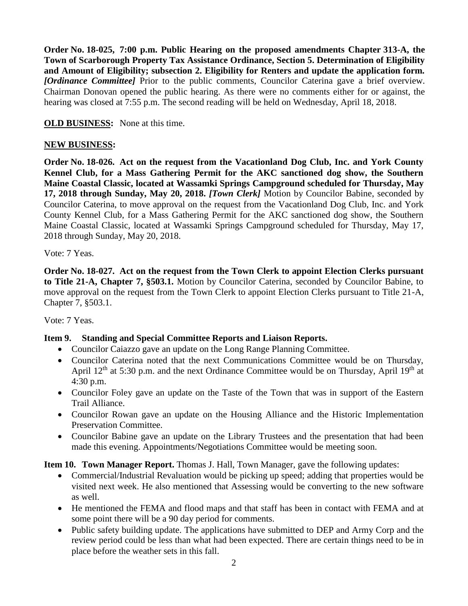**Order No. 18-025, 7:00 p.m. Public Hearing on the proposed amendments Chapter 313-A, the Town of Scarborough Property Tax Assistance Ordinance, Section 5. Determination of Eligibility and Amount of Eligibility; subsection 2. Eligibility for Renters and update the application form.**  *[Ordinance Committee]* Prior to the public comments, Councilor Caterina gave a brief overview. Chairman Donovan opened the public hearing. As there were no comments either for or against, the hearing was closed at 7:55 p.m. The second reading will be held on Wednesday, April 18, 2018.

## **OLD BUSINESS:** None at this time.

### **NEW BUSINESS:**

**Order No. 18-026. Act on the request from the Vacationland Dog Club, Inc. and York County Kennel Club, for a Mass Gathering Permit for the AKC sanctioned dog show, the Southern Maine Coastal Classic, located at Wassamki Springs Campground scheduled for Thursday, May 17, 2018 through Sunday, May 20, 2018.** *[Town Clerk]* Motion by Councilor Babine, seconded by Councilor Caterina, to move approval on the request from the Vacationland Dog Club, Inc. and York County Kennel Club, for a Mass Gathering Permit for the AKC sanctioned dog show, the Southern Maine Coastal Classic, located at Wassamki Springs Campground scheduled for Thursday, May 17, 2018 through Sunday, May 20, 2018.

Vote: 7 Yeas.

**Order No. 18-027. Act on the request from the Town Clerk to appoint Election Clerks pursuant to Title 21-A, Chapter 7, §503.1.** Motion by Councilor Caterina, seconded by Councilor Babine, to move approval on the request from the Town Clerk to appoint Election Clerks pursuant to Title 21-A, Chapter 7, §503.1.

Vote: 7 Yeas.

## **Item 9. Standing and Special Committee Reports and Liaison Reports.**

- Councilor Caiazzo gave an update on the Long Range Planning Committee.
- Councilor Caterina noted that the next Communications Committee would be on Thursday, April  $12<sup>th</sup>$  at 5:30 p.m. and the next Ordinance Committee would be on Thursday, April  $19<sup>th</sup>$  at 4:30 p.m.
- Councilor Foley gave an update on the Taste of the Town that was in support of the Eastern Trail Alliance.
- Councilor Rowan gave an update on the Housing Alliance and the Historic Implementation Preservation Committee.
- Councilor Babine gave an update on the Library Trustees and the presentation that had been made this evening. Appointments/Negotiations Committee would be meeting soon.

**Item 10. Town Manager Report.** Thomas J. Hall, Town Manager, gave the following updates:

- Commercial/Industrial Revaluation would be picking up speed; adding that properties would be visited next week. He also mentioned that Assessing would be converting to the new software as well.
- He mentioned the FEMA and flood maps and that staff has been in contact with FEMA and at some point there will be a 90 day period for comments.
- Public safety building update. The applications have submitted to DEP and Army Corp and the review period could be less than what had been expected. There are certain things need to be in place before the weather sets in this fall.